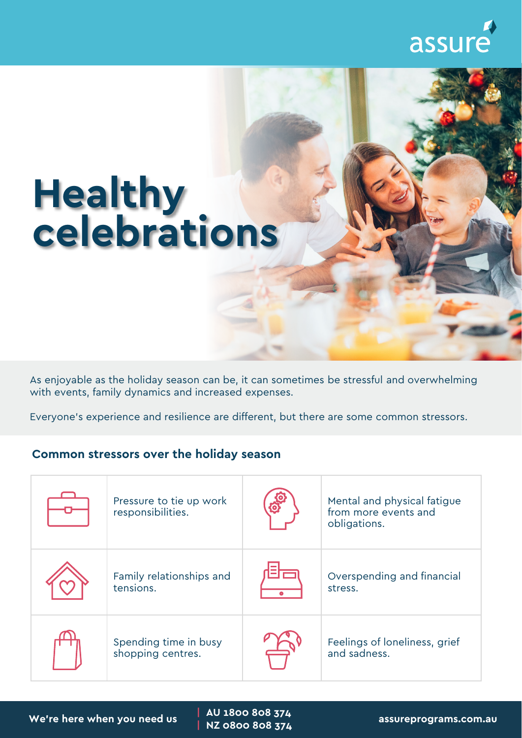## assure

## **Healthy celebrations**

As enjoyable as the holiday season can be, it can sometimes be stressful and overwhelming with events, family dynamics and increased expenses.

Everyone's experience and resilience are different, but there are some common stressors.

## **Common stressors over the holiday season**

| Pressure to tie up work<br>responsibilities. | Mental and physical fatigue<br>from more events and<br>obligations. |
|----------------------------------------------|---------------------------------------------------------------------|
| Family relationships and<br>tensions.        | Overspending and financial<br>stress.                               |
| Spending time in busy<br>shopping centres.   | Feelings of loneliness, grief<br>and sadness.                       |

**| AU 1800 808 374**